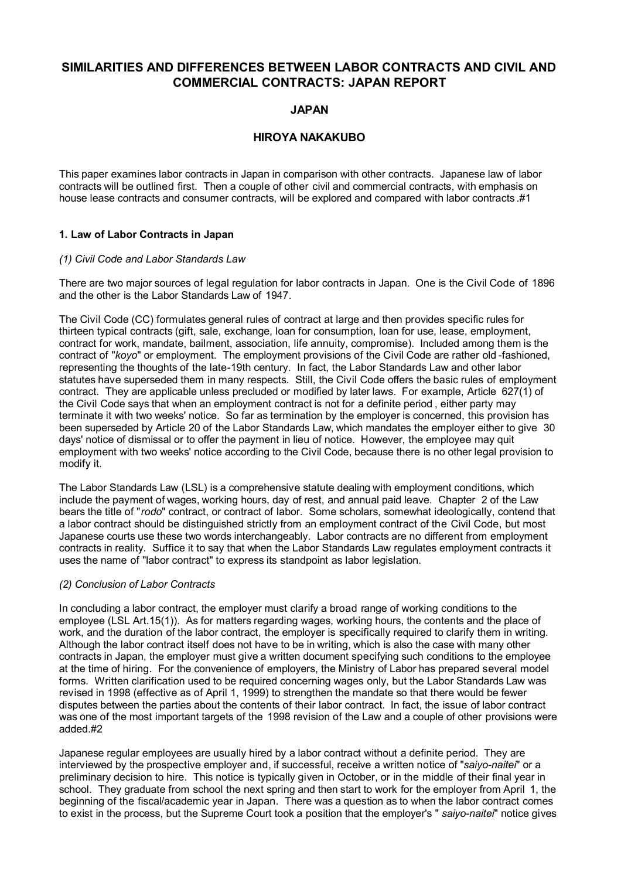# **SIMILARITIES AND DIFFERENCES BETWEEN LABOR CONTRACTS AND CIVIL AND COMMERCIAL CONTRACTS: JAPAN REPORT**

# **JAPAN**

# **HIROYA NAKAKUBO**

This paper examines labor contracts in Japan in comparison with other contracts. Japanese law of labor contracts will be outlined first. Then a couple of other civil and commercial contracts, with emphasis on house lease contracts and consumer contracts, will be explored and compared with labor contracts .#1

# **1. Law of Labor Contracts in Japan**

# *(1) Civil Code and Labor Standards Law*

There are two major sources of legal regulation for labor contracts in Japan. One is the Civil Code of 1896 and the other is the Labor Standards Law of 1947.

The Civil Code (CC) formulates general rules of contract at large and then provides specific rules for thirteen typical contracts (gift, sale, exchange, loan for consumption, loan for use, lease, employment, contract for work, mandate, bailment, association, life annuity, compromise). Included among them is the contract of "*koyo*" or employment. The employment provisions of the Civil Code are rather old -fashioned, representing the thoughts of the late-19th century. In fact, the Labor Standards Law and other labor statutes have superseded them in many respects. Still, the Civil Code offers the basic rules of employment contract. They are applicable unless precluded or modified by later laws. For example, Article 627(1) of the Civil Code says that when an employment contract is not for a definite period , either party may terminate it with two weeks' notice. So far as termination by the employer is concerned, this provision has been superseded by Article 20 of the Labor Standards Law, which mandates the employer either to give 30 days' notice of dismissal or to offer the payment in lieu of notice. However, the employee may quit employment with two weeks' notice according to the Civil Code, because there is no other legal provision to modify it.

The Labor Standards Law (LSL) is a comprehensive statute dealing with employment conditions, which include the payment of wages, working hours, day of rest, and annual paid leave. Chapter 2 of the Law bears the title of "*rodo*" contract, or contract of labor. Some scholars, somewhat ideologically, contend that a labor contract should be distinguished strictly from an employment contract of the Civil Code, but most Japanese courts use these two words interchangeably. Labor contracts are no different from employment contracts in reality. Suffice it to say that when the Labor Standards Law regulates employment contracts it uses the name of "labor contract" to express its standpoint as labor legislation.

# *(2) Conclusion of Labor Contracts*

In concluding a labor contract, the employer must clarify a broad range of working conditions to the employee (LSL Art.15(1)). As for matters regarding wages, working hours, the contents and the place of work, and the duration of the labor contract, the employer is specifically required to clarify them in writing. Although the labor contract itself does not have to be in writing, which is also the case with many other contracts in Japan, the employer must give a written document specifying such conditions to the employee at the time of hiring. For the convenience of employers, the Ministry of Labor has prepared several model forms. Written clarification used to be required concerning wages only, but the Labor Standards Law was revised in 1998 (effective as of April 1, 1999) to strengthen the mandate so that there would be fewer disputes between the parties about the contents of their labor contract. In fact, the issue of labor contract was one of the most important targets of the 1998 revision of the Law and a couple of other provisions were added.#2

Japanese regular employees are usually hired by a labor contract without a definite period. They are interviewed by the prospective employer and, if successful, receive a written notice of "*saiyo-naitei*" or a preliminary decision to hire. This notice is typically given in October, or in the middle of their final year in school. They graduate from school the next spring and then start to work for the employer from April 1, the beginning of the fiscal/academic year in Japan. There was a question as to when the labor contract comes to exist in the process, but the Supreme Court took a position that the employer's " *saiyo-naitei*" notice gives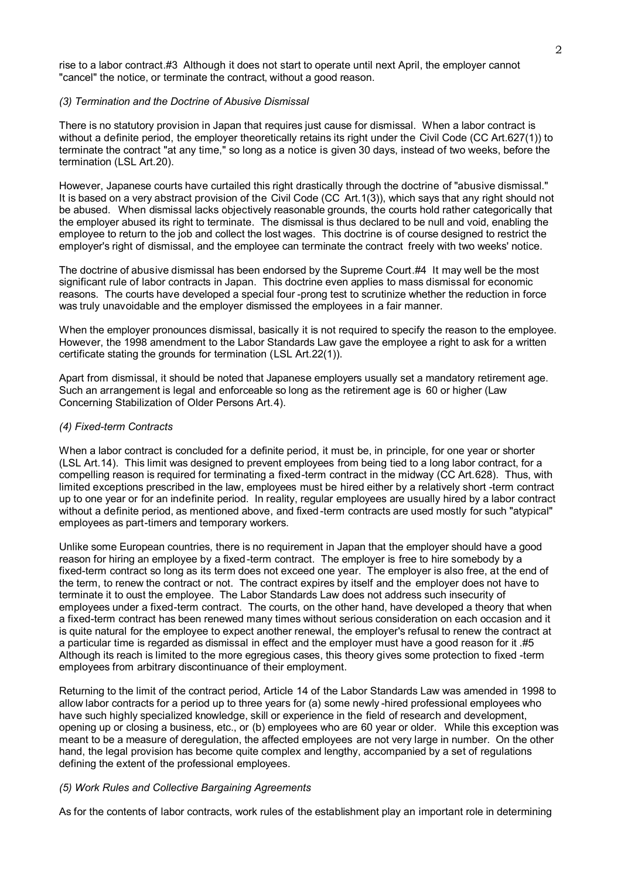rise to a labor contract.#3 Although it does not start to operate until next April, the employer cannot "cancel" the notice, or terminate the contract, without a good reason.

#### *(3) Termination and the Doctrine of Abusive Dismissal*

There is no statutory provision in Japan that requires just cause for dismissal. When a labor contract is without a definite period, the employer theoretically retains its right under the Civil Code (CC Art.627(1)) to terminate the contract "at any time," so long as a notice is given 30 days, instead of two weeks, before the termination (LSL Art.20).

However, Japanese courts have curtailed this right drastically through the doctrine of "abusive dismissal." It is based on a very abstract provision of the Civil Code (CC Art.1(3)), which says that any right should not be abused. When dismissal lacks objectively reasonable grounds, the courts hold rather categorically that the employer abused its right to terminate. The dismissal is thus declared to be null and void, enabling the employee to return to the job and collect the lost wages. This doctrine is of course designed to restrict the employer's right of dismissal, and the employee can terminate the contract freely with two weeks' notice.

The doctrine of abusive dismissal has been endorsed by the Supreme Court.#4 It may well be the most significant rule of labor contracts in Japan. This doctrine even applies to mass dismissal for economic reasons. The courts have developed a special four -prong test to scrutinize whether the reduction in force was truly unavoidable and the employer dismissed the employees in a fair manner.

When the employer pronounces dismissal, basically it is not required to specify the reason to the employee. However, the 1998 amendment to the Labor Standards Law gave the employee a right to ask for a written certificate stating the grounds for termination (LSL Art.22(1)).

Apart from dismissal, it should be noted that Japanese employers usually set a mandatory retirement age. Such an arrangement is legal and enforceable so long as the retirement age is 60 or higher (Law Concerning Stabilization of Older Persons Art.4).

#### *(4) Fixed-term Contracts*

When a labor contract is concluded for a definite period, it must be, in principle, for one year or shorter (LSL Art.14). This limit was designed to prevent employees from being tied to a long labor contract, for a compelling reason is required for terminating a fixed-term contract in the midway (CC Art.628). Thus, with limited exceptions prescribed in the law, employees must be hired either by a relatively short -term contract up to one year or for an indefinite period. In reality, regular employees are usually hired by a labor contract without a definite period, as mentioned above, and fixed-term contracts are used mostly for such "atypical" employees as part-timers and temporary workers.

Unlike some European countries, there is no requirement in Japan that the employer should have a good reason for hiring an employee by a fixed-term contract. The employer is free to hire somebody by a fixed-term contract so long as its term does not exceed one year. The employer is also free, at the end of the term, to renew the contract or not. The contract expires by itself and the employer does not have to terminate it to oust the employee. The Labor Standards Law does not address such insecurity of employees under a fixed-term contract. The courts, on the other hand, have developed a theory that when a fixed-term contract has been renewed many times without serious consideration on each occasion and it is quite natural for the employee to expect another renewal, the employer's refusal to renew the contract at a particular time is regarded as dismissal in effect and the employer must have a good reason for it .#5 Although its reach is limited to the more egregious cases, this theory gives some protection to fixed -term employees from arbitrary discontinuance of their employment.

Returning to the limit of the contract period, Article 14 of the Labor Standards Law was amended in 1998 to allow labor contracts for a period up to three years for (a) some newly -hired professional employees who have such highly specialized knowledge, skill or experience in the field of research and development, opening up or closing a business, etc., or (b) employees who are 60 year or older. While this exception was meant to be a measure of deregulation, the affected employees are not very large in number. On the other hand, the legal provision has become quite complex and lengthy, accompanied by a set of regulations defining the extent of the professional employees.

#### *(5) Work Rules and Collective Bargaining Agreements*

As for the contents of labor contracts, work rules of the establishment play an important role in determining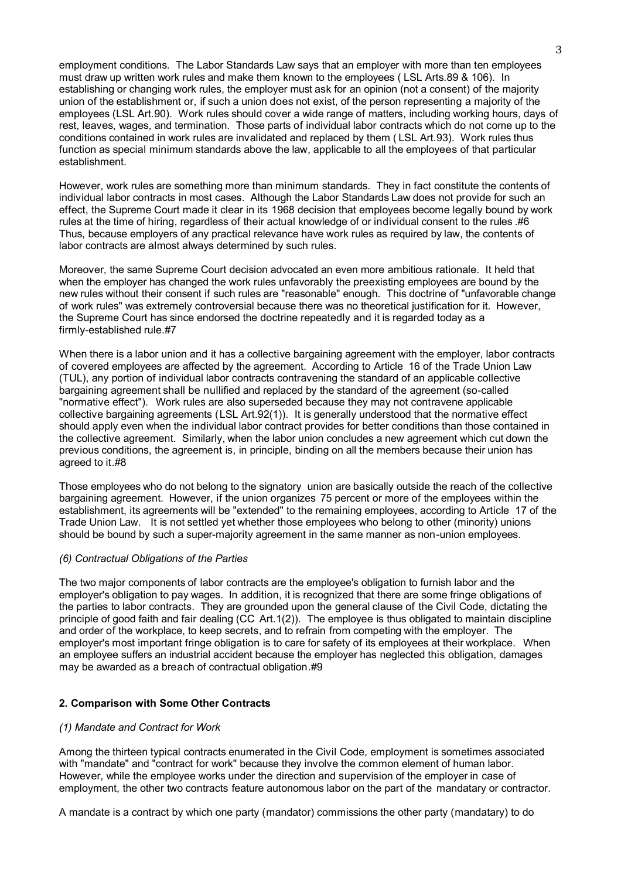employment conditions. The Labor Standards Law says that an employer with more than ten employees must draw up written work rules and make them known to the employees ( LSL Arts.89 & 106). In establishing or changing work rules, the employer must ask for an opinion (not a consent) of the majority union of the establishment or, if such a union does not exist, of the person representing a majority of the employees (LSL Art.90). Work rules should cover a wide range of matters, including working hours, days of rest, leaves, wages, and termination. Those parts of individual labor contracts which do not come up to the conditions contained in work rules are invalidated and replaced by them ( LSL Art.93). Work rules thus function as special minimum standards above the law, applicable to all the employees of that particular establishment.

However, work rules are something more than minimum standards. They in fact constitute the contents of individual labor contracts in most cases. Although the Labor Standards Law does not provide for such an effect, the Supreme Court made it clear in its 1968 decision that employees become legally bound by work rules at the time of hiring, regardless of their actual knowledge of or individual consent to the rules .#6 Thus, because employers of any practical relevance have work rules as required by law, the contents of labor contracts are almost always determined by such rules.

Moreover, the same Supreme Court decision advocated an even more ambitious rationale. It held that when the employer has changed the work rules unfavorably the preexisting employees are bound by the new rules without their consent if such rules are "reasonable" enough. This doctrine of "unfavorable change of work rules" was extremely controversial because there was no theoretical justification for it. However, the Supreme Court has since endorsed the doctrine repeatedly and it is regarded today as a firmly-established rule.#7

When there is a labor union and it has a collective bargaining agreement with the employer, labor contracts of covered employees are affected by the agreement. According to Article 16 of the Trade Union Law (TUL), any portion of individual labor contracts contravening the standard of an applicable collective bargaining agreement shall be nullified and replaced by the standard of the agreement (so-called "normative effect"). Work rules are also superseded because they may not contravene applicable collective bargaining agreements (LSL Art.92(1)). It is generally understood that the normative effect should apply even when the individual labor contract provides for better conditions than those contained in the collective agreement. Similarly, when the labor union concludes a new agreement which cut down the previous conditions, the agreement is, in principle, binding on all the members because their union has agreed to it.#8

Those employees who do not belong to the signatory union are basically outside the reach of the collective bargaining agreement. However, if the union organizes 75 percent or more of the employees within the establishment, its agreements will be "extended" to the remaining employees, according to Article 17 of the Trade Union Law. It is not settled yet whether those employees who belong to other (minority) unions should be bound by such a super-majority agreement in the same manner as non-union employees.

### *(6) Contractual Obligations of the Parties*

The two major components of labor contracts are the employee's obligation to furnish labor and the employer's obligation to pay wages. In addition, it is recognized that there are some fringe obligations of the parties to labor contracts. They are grounded upon the general clause of the Civil Code, dictating the principle of good faith and fair dealing (CC Art.1(2)). The employee is thus obligated to maintain discipline and order of the workplace, to keep secrets, and to refrain from competing with the employer. The employer's most important fringe obligation is to care for safety of its employees at their workplace. When an employee suffers an industrial accident because the employer has neglected this obligation, damages may be awarded as a breach of contractual obligation.#9

# **2. Comparison with Some Other Contracts**

### *(1) Mandate and Contract for Work*

Among the thirteen typical contracts enumerated in the Civil Code, employment is sometimes associated with "mandate" and "contract for work" because they involve the common element of human labor. However, while the employee works under the direction and supervision of the employer in case of employment, the other two contracts feature autonomous labor on the part of the mandatary or contractor.

A mandate is a contract by which one party (mandator) commissions the other party (mandatary) to do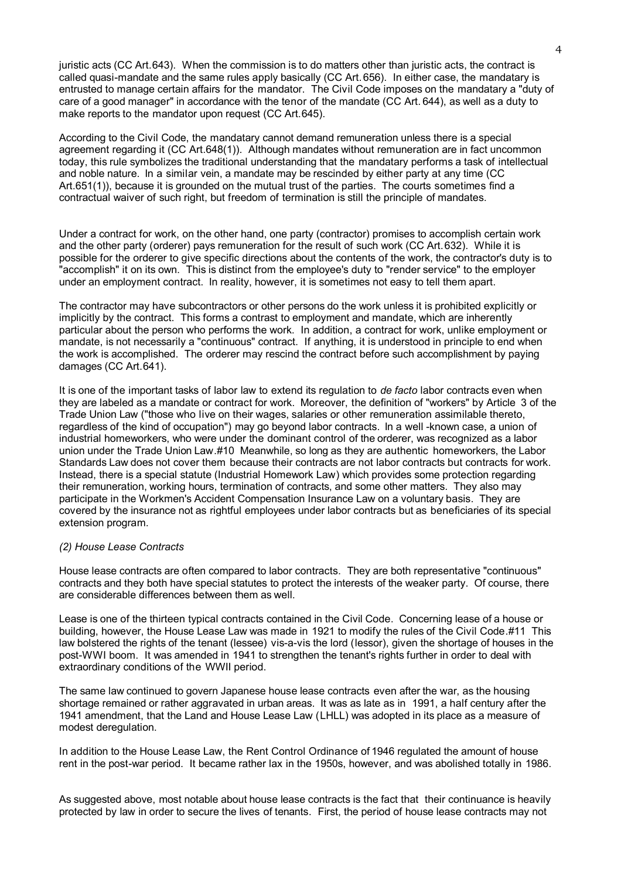juristic acts (CC Art.643). When the commission is to do matters other than juristic acts, the contract is called quasi-mandate and the same rules apply basically (CC Art.656). In either case, the mandatary is entrusted to manage certain affairs for the mandator. The Civil Code imposes on the mandatary a "duty of care of a good manager" in accordance with the tenor of the mandate (CC Art. 644), as well as a duty to make reports to the mandator upon request (CC Art.645).

According to the Civil Code, the mandatary cannot demand remuneration unless there is a special agreement regarding it (CC Art.648(1)). Although mandates without remuneration are in fact uncommon today, this rule symbolizes the traditional understanding that the mandatary performs a task of intellectual and noble nature. In a similar vein, a mandate may be rescinded by either party at any time (CC Art.651(1)), because it is grounded on the mutual trust of the parties. The courts sometimes find a contractual waiver of such right, but freedom of termination is still the principle of mandates.

Under a contract for work, on the other hand, one party (contractor) promises to accomplish certain work and the other party (orderer) pays remuneration for the result of such work (CC Art.632). While it is possible for the orderer to give specific directions about the contents of the work, the contractor's duty is to "accomplish" it on its own. This is distinct from the employee's duty to "render service" to the employer under an employment contract. In reality, however, it is sometimes not easy to tell them apart.

The contractor may have subcontractors or other persons do the work unless it is prohibited explicitly or implicitly by the contract. This forms a contrast to employment and mandate, which are inherently particular about the person who performs the work. In addition, a contract for work, unlike employment or mandate, is not necessarily a "continuous" contract. If anything, it is understood in principle to end when the work is accomplished. The orderer may rescind the contract before such accomplishment by paying damages (CC Art.641).

It is one of the important tasks of labor law to extend its regulation to *de facto* labor contracts even when they are labeled as a mandate or contract for work. Moreover, the definition of "workers" by Article 3 of the Trade Union Law ("those who live on their wages, salaries or other remuneration assimilable thereto, regardless of the kind of occupation") may go beyond labor contracts. In a well -known case, a union of industrial homeworkers, who were under the dominant control of the orderer, was recognized as a labor union under the Trade Union Law.#10 Meanwhile, so long as they are authentic homeworkers, the Labor Standards Law does not cover them because their contracts are not labor contracts but contracts for work. Instead, there is a special statute (Industrial Homework Law) which provides some protection regarding their remuneration, working hours, termination of contracts, and some other matters. They also may participate in the Workmen's Accident Compensation Insurance Law on a voluntary basis. They are covered by the insurance not as rightful employees under labor contracts but as beneficiaries of its special extension program.

### *(2) House Lease Contracts*

House lease contracts are often compared to labor contracts. They are both representative "continuous" contracts and they both have special statutes to protect the interests of the weaker party. Of course, there are considerable differences between them as well.

Lease is one of the thirteen typical contracts contained in the Civil Code. Concerning lease of a house or building, however, the House Lease Law was made in 1921 to modify the rules of the Civil Code.#11 This law bolstered the rights of the tenant (lessee) vis-a-vis the lord (lessor), given the shortage of houses in the post-WWI boom. It was amended in 1941 to strengthen the tenant's rights further in order to deal with extraordinary conditions of the WWII period.

The same law continued to govern Japanese house lease contracts even after the war, as the housing shortage remained or rather aggravated in urban areas. It was as late as in 1991, a half century after the 1941 amendment, that the Land and House Lease Law (LHLL) was adopted in its place as a measure of modest deregulation.

In addition to the House Lease Law, the Rent Control Ordinance of 1946 regulated the amount of house rent in the post-war period. It became rather lax in the 1950s, however, and was abolished totally in 1986.

As suggested above, most notable about house lease contracts is the fact that their continuance is heavily protected by law in order to secure the lives of tenants. First, the period of house lease contracts may not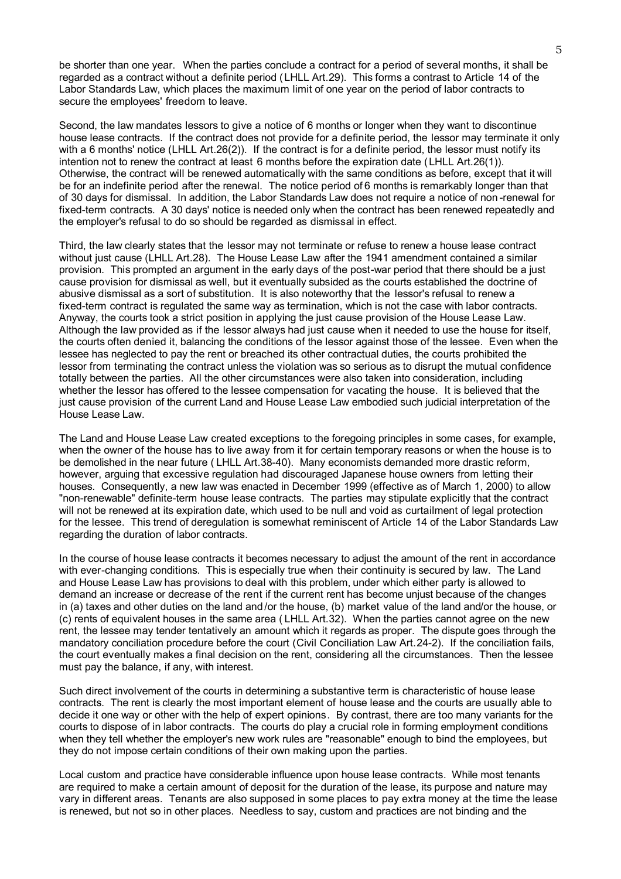be shorter than one year. When the parties conclude a contract for a period of several months, it shall be regarded as a contract without a definite period (LHLL Art.29). This forms a contrast to Article 14 of the Labor Standards Law, which places the maximum limit of one year on the period of labor contracts to secure the employees' freedom to leave.

Second, the law mandates lessors to give a notice of 6 months or longer when they want to discontinue house lease contracts. If the contract does not provide for a definite period, the lessor may terminate it only with a 6 months' notice (LHLL Art.26(2)). If the contract is for a definite period, the lessor must notify its intention not to renew the contract at least 6 months before the expiration date (LHLL Art.26(1)). Otherwise, the contract will be renewed automatically with the same conditions as before, except that it will be for an indefinite period after the renewal. The notice period of 6 months is remarkably longer than that of 30 days for dismissal. In addition, the Labor Standards Law does not require a notice of non -renewal for fixed-term contracts. A 30 days' notice is needed only when the contract has been renewed repeatedly and the employer's refusal to do so should be regarded as dismissal in effect.

Third, the law clearly states that the lessor may not terminate or refuse to renew a house lease contract without just cause (LHLL Art.28). The House Lease Law after the 1941 amendment contained a similar provision. This prompted an argument in the early days of the post-war period that there should be a just cause provision for dismissal as well, but it eventually subsided as the courts established the doctrine of abusive dismissal as a sort of substitution. It is also noteworthy that the lessor's refusal to renew a fixed-term contract is regulated the same way as termination, which is not the case with labor contracts. Anyway, the courts took a strict position in applying the just cause provision of the House Lease Law. Although the law provided as if the lessor always had just cause when it needed to use the house for itself, the courts often denied it, balancing the conditions of the lessor against those of the lessee. Even when the lessee has neglected to pay the rent or breached its other contractual duties, the courts prohibited the lessor from terminating the contract unless the violation was so serious as to disrupt the mutual confidence totally between the parties. All the other circumstances were also taken into consideration, including whether the lessor has offered to the lessee compensation for vacating the house. It is believed that the just cause provision of the current Land and House Lease Law embodied such judicial interpretation of the House Lease Law.

The Land and House Lease Law created exceptions to the foregoing principles in some cases, for example, when the owner of the house has to live away from it for certain temporary reasons or when the house is to be demolished in the near future ( LHLL Art.38-40). Many economists demanded more drastic reform, however, arguing that excessive regulation had discouraged Japanese house owners from letting their houses. Consequently, a new law was enacted in December 1999 (effective as of March 1, 2000) to allow "non-renewable" definite-term house lease contracts. The parties may stipulate explicitly that the contract will not be renewed at its expiration date, which used to be null and void as curtailment of legal protection for the lessee. This trend of deregulation is somewhat reminiscent of Article 14 of the Labor Standards Law regarding the duration of labor contracts.

In the course of house lease contracts it becomes necessary to adjust the amount of the rent in accordance with ever-changing conditions. This is especially true when their continuity is secured by law. The Land and House Lease Law has provisions to deal with this problem, under which either party is allowed to demand an increase or decrease of the rent if the current rent has become unjust because of the changes in (a) taxes and other duties on the land and /or the house, (b) market value of the land and/or the house, or (c) rents of equivalent houses in the same area ( LHLL Art.32). When the parties cannot agree on the new rent, the lessee may tender tentatively an amount which it regards as proper. The dispute goes through the mandatory conciliation procedure before the court (Civil Conciliation Law Art.24-2). If the conciliation fails, the court eventually makes a final decision on the rent, considering all the circumstances. Then the lessee must pay the balance, if any, with interest.

Such direct involvement of the courts in determining a substantive term is characteristic of house lease contracts. The rent is clearly the most important element of house lease and the courts are usually able to decide it one way or other with the help of expert opinions. By contrast, there are too many variants for the courts to dispose of in labor contracts. The courts do play a crucial role in forming employment conditions when they tell whether the employer's new work rules are "reasonable" enough to bind the employees, but they do not impose certain conditions of their own making upon the parties.

Local custom and practice have considerable influence upon house lease contracts. While most tenants are required to make a certain amount of deposit for the duration of the lease, its purpose and nature may vary in different areas. Tenants are also supposed in some places to pay extra money at the time the lease is renewed, but not so in other places. Needless to say, custom and practices are not binding and the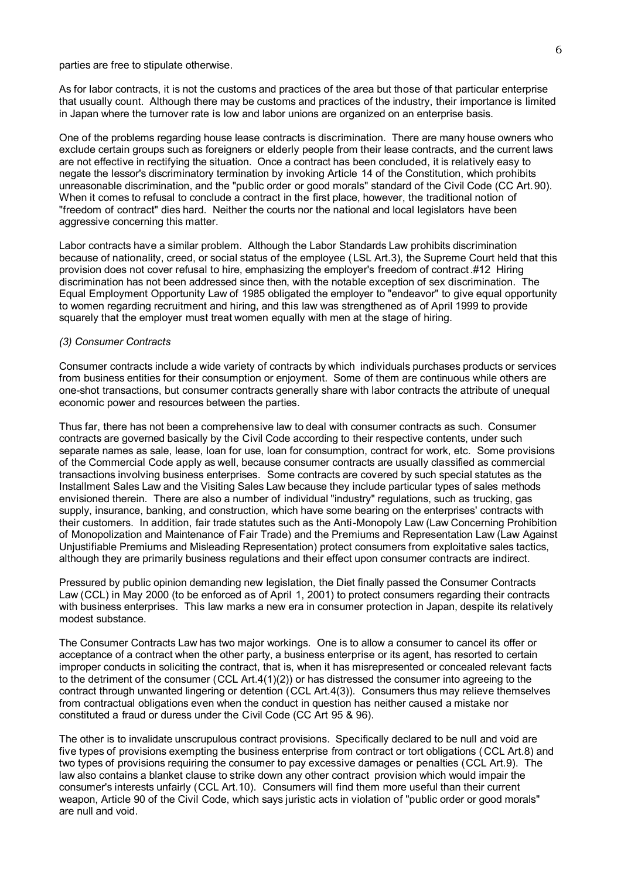parties are free to stipulate otherwise.

As for labor contracts, it is not the customs and practices of the area but those of that particular enterprise that usually count. Although there may be customs and practices of the industry, their importance is limited in Japan where the turnover rate is low and labor unions are organized on an enterprise basis.

One of the problems regarding house lease contracts is discrimination. There are many house owners who exclude certain groups such as foreigners or elderly people from their lease contracts, and the current laws are not effective in rectifying the situation. Once a contract has been concluded, it is relatively easy to negate the lessor's discriminatory termination by invoking Article 14 of the Constitution, which prohibits unreasonable discrimination, and the "public order or good morals" standard of the Civil Code (CC Art.90). When it comes to refusal to conclude a contract in the first place, however, the traditional notion of "freedom of contract" dies hard. Neither the courts nor the national and local legislators have been aggressive concerning this matter.

Labor contracts have a similar problem. Although the Labor Standards Law prohibits discrimination because of nationality, creed, or social status of the employee (LSL Art.3), the Supreme Court held that this provision does not cover refusal to hire, emphasizing the employer's freedom of contract.#12 Hiring discrimination has not been addressed since then, with the notable exception of sex discrimination. The Equal Employment Opportunity Law of 1985 obligated the employer to "endeavor" to give equal opportunity to women regarding recruitment and hiring, and this law was strengthened as of April 1999 to provide squarely that the employer must treat women equally with men at the stage of hiring.

#### *(3) Consumer Contracts*

Consumer contracts include a wide variety of contracts by which individuals purchases products or services from business entities for their consumption or enjoyment. Some of them are continuous while others are one-shot transactions, but consumer contracts generally share with labor contracts the attribute of unequal economic power and resources between the parties.

Thus far, there has not been a comprehensive law to deal with consumer contracts as such. Consumer contracts are governed basically by the Civil Code according to their respective contents, under such separate names as sale, lease, loan for use, loan for consumption, contract for work, etc. Some provisions of the Commercial Code apply as well, because consumer contracts are usually classified as commercial transactions involving business enterprises. Some contracts are covered by such special statutes as the Installment Sales Law and the Visiting Sales Law because they include particular types of sales methods envisioned therein. There are also a number of individual "industry" regulations, such as trucking, gas supply, insurance, banking, and construction, which have some bearing on the enterprises' contracts with their customers. In addition, fair trade statutes such as the Anti-Monopoly Law (Law Concerning Prohibition of Monopolization and Maintenance of Fair Trade) and the Premiums and Representation Law (Law Against Unjustifiable Premiums and Misleading Representation) protect consumers from exploitative sales tactics, although they are primarily business regulations and their effect upon consumer contracts are indirect.

Pressured by public opinion demanding new legislation, the Diet finally passed the Consumer Contracts Law (CCL) in May 2000 (to be enforced as of April 1, 2001) to protect consumers regarding their contracts with business enterprises. This law marks a new era in consumer protection in Japan, despite its relatively modest substance.

The Consumer Contracts Law has two major workings. One is to allow a consumer to cancel its offer or acceptance of a contract when the other party, a business enterprise or its agent, has resorted to certain improper conducts in soliciting the contract, that is, when it has misrepresented or concealed relevant facts to the detriment of the consumer (CCL Art.4(1)(2)) or has distressed the consumer into agreeing to the contract through unwanted lingering or detention (CCL Art.4(3)). Consumers thus may relieve themselves from contractual obligations even when the conduct in question has neither caused a mistake nor constituted a fraud or duress under the Civil Code (CC Art 95 & 96).

The other is to invalidate unscrupulous contract provisions. Specifically declared to be null and void are five types of provisions exempting the business enterprise from contract or tort obligations ( CCL Art.8) and two types of provisions requiring the consumer to pay excessive damages or penalties (CCL Art.9). The law also contains a blanket clause to strike down any other contract provision which would impair the consumer's interests unfairly (CCL Art.10). Consumers will find them more useful than their current weapon, Article 90 of the Civil Code, which says juristic acts in violation of "public order or good morals" are null and void.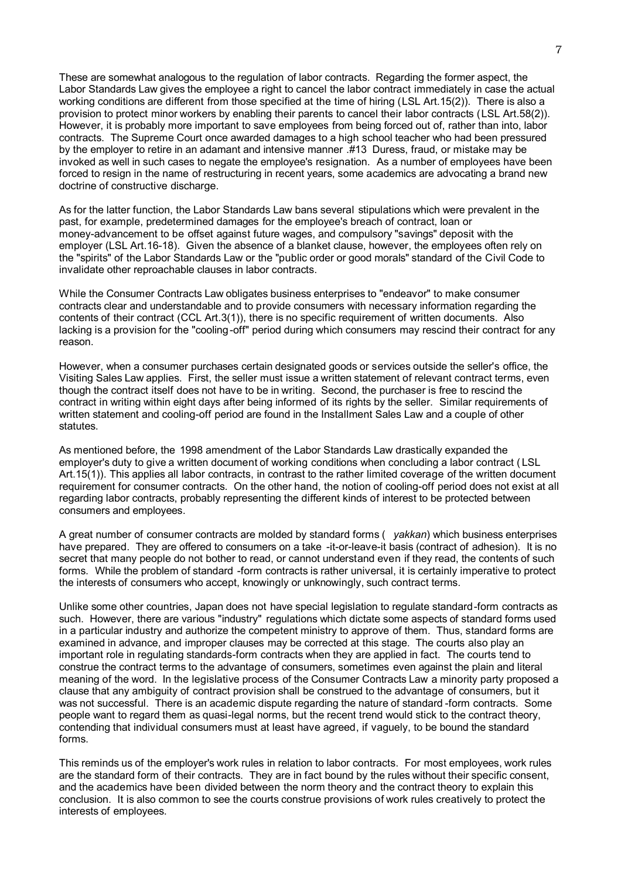These are somewhat analogous to the regulation of labor contracts. Regarding the former aspect, the Labor Standards Law gives the employee a right to cancel the labor contract immediately in case the actual working conditions are different from those specified at the time of hiring (LSL Art.15(2)). There is also a provision to protect minor workers by enabling their parents to cancel their labor contracts (LSL Art.58(2)). However, it is probably more important to save employees from being forced out of, rather than into, labor contracts. The Supreme Court once awarded damages to a high school teacher who had been pressured by the employer to retire in an adamant and intensive manner .#13 Duress, fraud, or mistake may be invoked as well in such cases to negate the employee's resignation. As a number of employees have been forced to resign in the name of restructuring in recent years, some academics are advocating a brand new doctrine of constructive discharge.

As for the latter function, the Labor Standards Law bans several stipulations which were prevalent in the past, for example, predetermined damages for the employee's breach of contract, loan or money-advancement to be offset against future wages, and compulsory "savings" deposit with the employer (LSL Art.16-18). Given the absence of a blanket clause, however, the employees often rely on the "spirits" of the Labor Standards Law or the "public order or good morals" standard of the Civil Code to invalidate other reproachable clauses in labor contracts.

While the Consumer Contracts Law obligates business enterprises to "endeavor" to make consumer contracts clear and understandable and to provide consumers with necessary information regarding the contents of their contract (CCL Art.3(1)), there is no specific requirement of written documents. Also lacking is a provision for the "cooling-off" period during which consumers may rescind their contract for any reason.

However, when a consumer purchases certain designated goods or services outside the seller's office, the Visiting Sales Law applies. First, the seller must issue a written statement of relevant contract terms, even though the contract itself does not have to be in writing. Second, the purchaser is free to rescind the contract in writing within eight days after being informed of its rights by the seller. Similar requirements of written statement and cooling-off period are found in the Installment Sales Law and a couple of other statutes.

As mentioned before, the 1998 amendment of the Labor Standards Law drastically expanded the employer's duty to give a written document of working conditions when concluding a labor contract ( LSL Art.15(1)). This applies all labor contracts, in contrast to the rather limited coverage of the written document requirement for consumer contracts. On the other hand, the notion of cooling-off period does not exist at all regarding labor contracts, probably representing the different kinds of interest to be protected between consumers and employees.

A great number of consumer contracts are molded by standard forms ( *yakkan*) which business enterprises have prepared. They are offered to consumers on a take -it-or-leave-it basis (contract of adhesion). It is no secret that many people do not bother to read, or cannot understand even if they read, the contents of such forms. While the problem of standard -form contracts is rather universal, it is certainly imperative to protect the interests of consumers who accept, knowingly or unknowingly, such contract terms.

Unlike some other countries, Japan does not have special legislation to regulate standard-form contracts as such. However, there are various "industry" regulations which dictate some aspects of standard forms used in a particular industry and authorize the competent ministry to approve of them. Thus, standard forms are examined in advance, and improper clauses may be corrected at this stage. The courts also play an important role in regulating standards-form contracts when they are applied in fact. The courts tend to construe the contract terms to the advantage of consumers, sometimes even against the plain and literal meaning of the word. In the legislative process of the Consumer Contracts Law a minority party proposed a clause that any ambiguity of contract provision shall be construed to the advantage of consumers, but it was not successful. There is an academic dispute regarding the nature of standard -form contracts. Some people want to regard them as quasi-legal norms, but the recent trend would stick to the contract theory, contending that individual consumers must at least have agreed, if vaguely, to be bound the standard forms.

This reminds us of the employer's work rules in relation to labor contracts. For most employees, work rules are the standard form of their contracts. They are in fact bound by the rules without their specific consent, and the academics have been divided between the norm theory and the contract theory to explain this conclusion. It is also common to see the courts construe provisions of work rules creatively to protect the interests of employees.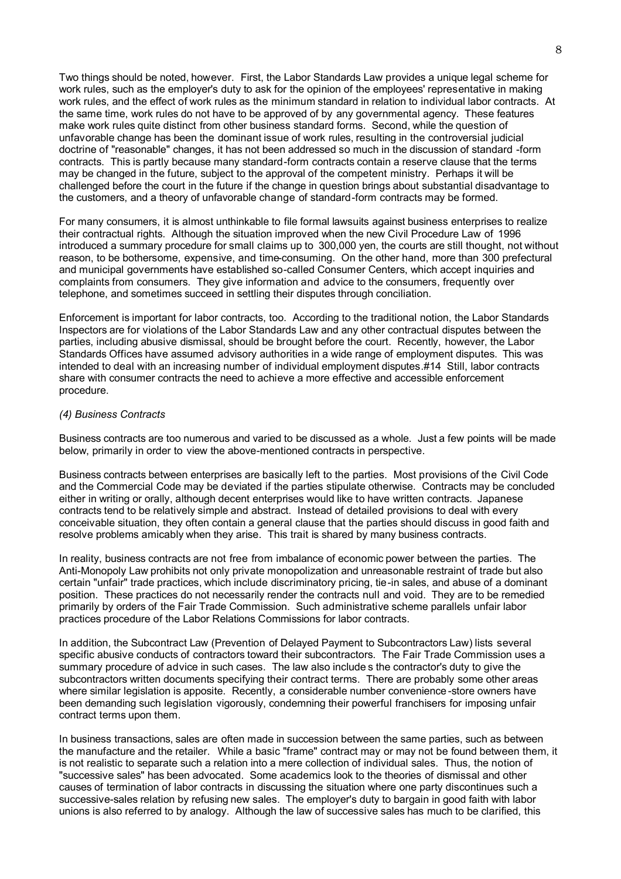Two things should be noted, however. First, the Labor Standards Law provides a unique legal scheme for work rules, such as the employer's duty to ask for the opinion of the employees' representative in making work rules, and the effect of work rules as the minimum standard in relation to individual labor contracts. At the same time, work rules do not have to be approved of by any governmental agency. These features make work rules quite distinct from other business standard forms. Second, while the question of unfavorable change has been the dominant issue of work rules, resulting in the controversial judicial doctrine of "reasonable" changes, it has not been addressed so much in the discussion of standard -form contracts. This is partly because many standard-form contracts contain a reserve clause that the terms may be changed in the future, subject to the approval of the competent ministry. Perhaps it will be challenged before the court in the future if the change in question brings about substantial disadvantage to the customers, and a theory of unfavorable change of standard-form contracts may be formed.

For many consumers, it is almost unthinkable to file formal lawsuits against business enterprises to realize their contractual rights. Although the situation improved when the new Civil Procedure Law of 1996 introduced a summary procedure for small claims up to 300,000 yen, the courts are still thought, not without reason, to be bothersome, expensive, and time-consuming. On the other hand, more than 300 prefectural and municipal governments have established so-called Consumer Centers, which accept inquiries and complaints from consumers. They give information and advice to the consumers, frequently over telephone, and sometimes succeed in settling their disputes through conciliation.

Enforcement is important for labor contracts, too. According to the traditional notion, the Labor Standards Inspectors are for violations of the Labor Standards Law and any other contractual disputes between the parties, including abusive dismissal, should be brought before the court. Recently, however, the Labor Standards Offices have assumed advisory authorities in a wide range of employment disputes. This was intended to deal with an increasing number of individual employment disputes.#14 Still, labor contracts share with consumer contracts the need to achieve a more effective and accessible enforcement procedure.

#### *(4) Business Contracts*

Business contracts are too numerous and varied to be discussed as a whole. Just a few points will be made below, primarily in order to view the above-mentioned contracts in perspective.

Business contracts between enterprises are basically left to the parties. Most provisions of the Civil Code and the Commercial Code may be deviated if the parties stipulate otherwise. Contracts may be concluded either in writing or orally, although decent enterprises would like to have written contracts. Japanese contracts tend to be relatively simple and abstract. Instead of detailed provisions to deal with every conceivable situation, they often contain a general clause that the parties should discuss in good faith and resolve problems amicably when they arise. This trait is shared by many business contracts.

In reality, business contracts are not free from imbalance of economic power between the parties. The Anti-Monopoly Law prohibits not only private monopolization and unreasonable restraint of trade but also certain "unfair" trade practices, which include discriminatory pricing, tie-in sales, and abuse of a dominant position. These practices do not necessarily render the contracts null and void. They are to be remedied primarily by orders of the Fair Trade Commission. Such administrative scheme parallels unfair labor practices procedure of the Labor Relations Commissions for labor contracts.

In addition, the Subcontract Law (Prevention of Delayed Payment to Subcontractors Law) lists several specific abusive conducts of contractors toward their subcontractors. The Fair Trade Commission uses a summary procedure of advice in such cases. The law also include s the contractor's duty to give the subcontractors written documents specifying their contract terms. There are probably some other areas where similar legislation is apposite. Recently, a considerable number convenience -store owners have been demanding such legislation vigorously, condemning their powerful franchisers for imposing unfair contract terms upon them.

In business transactions, sales are often made in succession between the same parties, such as between the manufacture and the retailer. While a basic "frame" contract may or may not be found between them, it is not realistic to separate such a relation into a mere collection of individual sales. Thus, the notion of "successive sales" has been advocated. Some academics look to the theories of dismissal and other causes of termination of labor contracts in discussing the situation where one party discontinues such a successive-sales relation by refusing new sales. The employer's duty to bargain in good faith with labor unions is also referred to by analogy. Although the law of successive sales has much to be clarified, this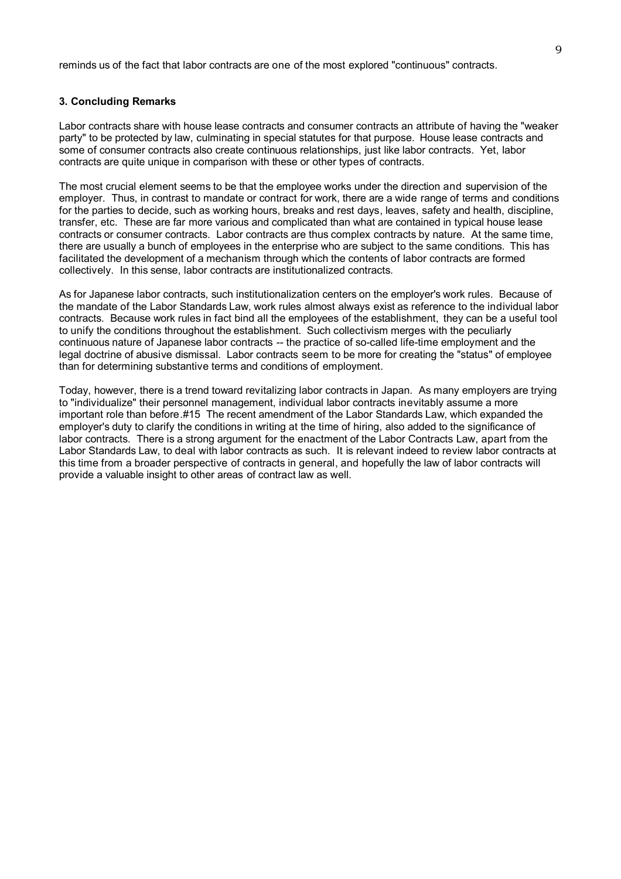reminds us of the fact that labor contracts are one of the most explored "continuous" contracts.

### **3. Concluding Remarks**

Labor contracts share with house lease contracts and consumer contracts an attribute of having the "weaker party" to be protected by law, culminating in special statutes for that purpose. House lease contracts and some of consumer contracts also create continuous relationships, just like labor contracts. Yet, labor contracts are quite unique in comparison with these or other types of contracts.

The most crucial element seems to be that the employee works under the direction and supervision of the employer. Thus, in contrast to mandate or contract for work, there are a wide range of terms and conditions for the parties to decide, such as working hours, breaks and rest days, leaves, safety and health, discipline, transfer, etc. These are far more various and complicated than what are contained in typical house lease contracts or consumer contracts. Labor contracts are thus complex contracts by nature. At the same time, there are usually a bunch of employees in the enterprise who are subject to the same conditions. This has facilitated the development of a mechanism through which the contents of labor contracts are formed collectively. In this sense, labor contracts are institutionalized contracts.

As for Japanese labor contracts, such institutionalization centers on the employer's work rules. Because of the mandate of the Labor Standards Law, work rules almost always exist as reference to the individual labor contracts. Because work rules in fact bind all the employees of the establishment, they can be a useful tool to unify the conditions throughout the establishment. Such collectivism merges with the peculiarly continuous nature of Japanese labor contracts -- the practice of so-called life-time employment and the legal doctrine of abusive dismissal. Labor contracts seem to be more for creating the "status" of employee than for determining substantive terms and conditions of employment.

Today, however, there is a trend toward revitalizing labor contracts in Japan. As many employers are trying to "individualize" their personnel management, individual labor contracts inevitably assume a more important role than before.#15 The recent amendment of the Labor Standards Law, which expanded the employer's duty to clarify the conditions in writing at the time of hiring, also added to the significance of labor contracts. There is a strong argument for the enactment of the Labor Contracts Law, apart from the Labor Standards Law, to deal with labor contracts as such. It is relevant indeed to review labor contracts at this time from a broader perspective of contracts in general, and hopefully the law of labor contracts will provide a valuable insight to other areas of contract law as well.